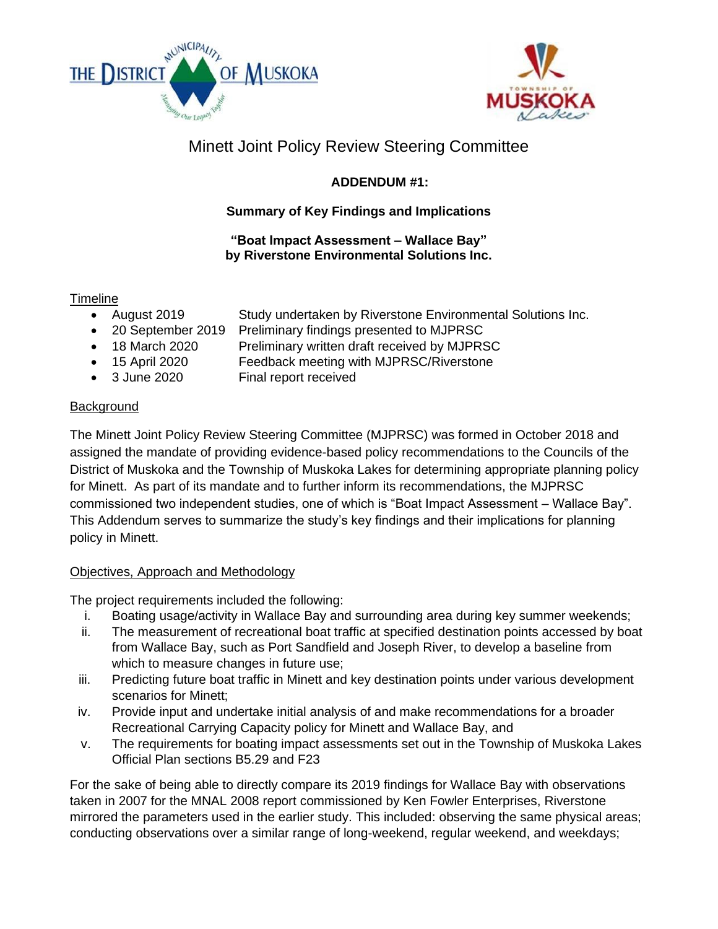



# Minett Joint Policy Review Steering Committee

# **ADDENDUM #1:**

# **Summary of Key Findings and Implications**

### **"Boat Impact Assessment – Wallace Bay" by Riverstone Environmental Solutions Inc.**

# **Timeline**

- August 2019 Study undertaken by Riverstone Environmental Solutions Inc.
- 20 September 2019 Preliminary findings presented to MJPRSC
- 18 March 2020 Preliminary written draft received by MJPRSC
- 15 April 2020 Feedback meeting with MJPRSC/Riverstone
- 3 June 2020 Final report received

## **Background**

The Minett Joint Policy Review Steering Committee (MJPRSC) was formed in October 2018 and assigned the mandate of providing evidence-based policy recommendations to the Councils of the District of Muskoka and the Township of Muskoka Lakes for determining appropriate planning policy for Minett. As part of its mandate and to further inform its recommendations, the MJPRSC commissioned two independent studies, one of which is "Boat Impact Assessment – Wallace Bay". This Addendum serves to summarize the study's key findings and their implications for planning policy in Minett.

### Objectives, Approach and Methodology

The project requirements included the following:

- i. Boating usage/activity in Wallace Bay and surrounding area during key summer weekends;
- ii. The measurement of recreational boat traffic at specified destination points accessed by boat from Wallace Bay, such as Port Sandfield and Joseph River, to develop a baseline from which to measure changes in future use;
- iii. Predicting future boat traffic in Minett and key destination points under various development scenarios for Minett;
- iv. Provide input and undertake initial analysis of and make recommendations for a broader Recreational Carrying Capacity policy for Minett and Wallace Bay, and
- v. The requirements for boating impact assessments set out in the Township of Muskoka Lakes Official Plan sections B5.29 and F23

For the sake of being able to directly compare its 2019 findings for Wallace Bay with observations taken in 2007 for the MNAL 2008 report commissioned by Ken Fowler Enterprises, Riverstone mirrored the parameters used in the earlier study. This included: observing the same physical areas; conducting observations over a similar range of long-weekend, regular weekend, and weekdays;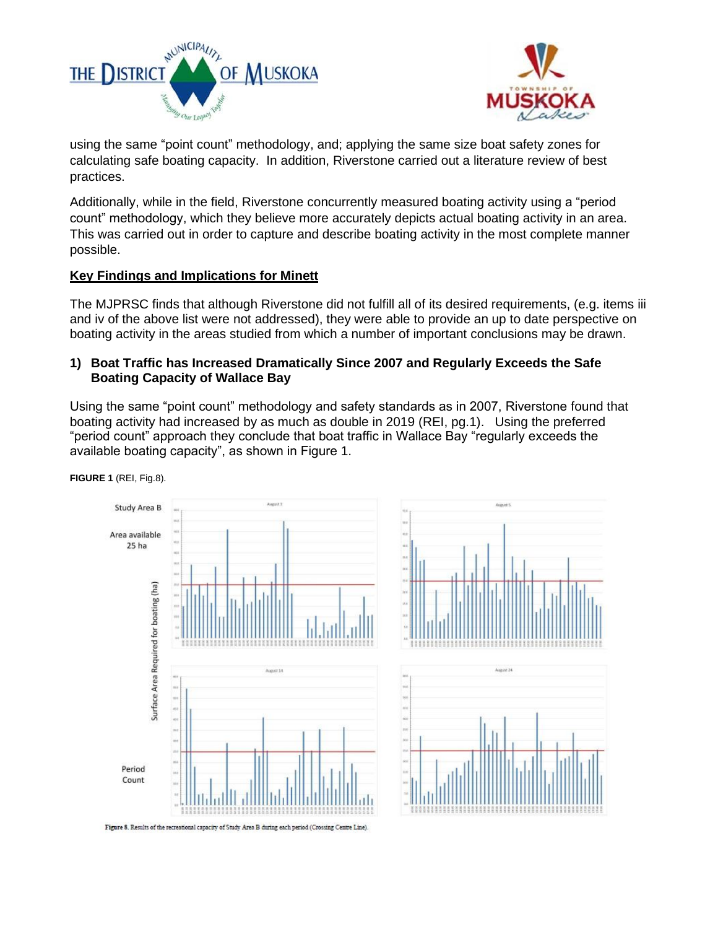



using the same "point count" methodology, and; applying the same size boat safety zones for calculating safe boating capacity. In addition, Riverstone carried out a literature review of best practices.

Additionally, while in the field, Riverstone concurrently measured boating activity using a "period count" methodology, which they believe more accurately depicts actual boating activity in an area. This was carried out in order to capture and describe boating activity in the most complete manner possible.

#### **Key Findings and Implications for Minett**

The MJPRSC finds that although Riverstone did not fulfill all of its desired requirements, (e.g. items iii and iv of the above list were not addressed), they were able to provide an up to date perspective on boating activity in the areas studied from which a number of important conclusions may be drawn.

#### **1) Boat Traffic has Increased Dramatically Since 2007 and Regularly Exceeds the Safe Boating Capacity of Wallace Bay**

Using the same "point count" methodology and safety standards as in 2007, Riverstone found that boating activity had increased by as much as double in 2019 (REI, pg.1). Using the preferred "period count" approach they conclude that boat traffic in Wallace Bay "regularly exceeds the available boating capacity", as shown in Figure 1.



**FIGURE 1** (REI, Fig.8).

Figure 8. Results of the recreational capacity of Study Area B during each period (Crossing Centre Line).